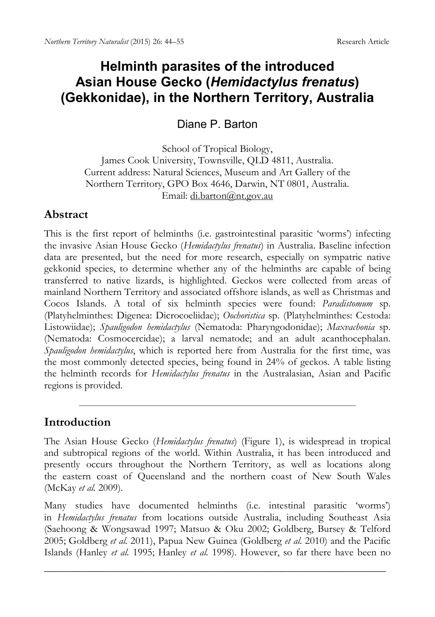# **Helminth parasites of the introduced Asian House Gecko (***Hemidactylus frenatus***) (Gekkonidae), in the Northern Territory, Australia**

Diane P. Barton

School of Tropical Biology, James Cook University, Townsville, QLD 4811, Australia. Current address: Natural Sciences, Museum and Art Gallery of the Northern Territory, GPO Box 4646, Darwin, NT 0801, Australia. Email: [di.barton@nt.gov.au](mailto:di.barton@nt.gov.au)

### **Abstract**

This is the first report of helminths (i.e. gastrointestinal parasitic 'worms') infecting the invasive Asian House Gecko (*Hemidactylus frenatus*) in Australia. Baseline infection data are presented, but the need for more research, especially on sympatric native gekkonid species, to determine whether any of the helminths are capable of being transferred to native lizards, is highlighted. Geckos were collected from areas of mainland Northern Territory and associated offshore islands, as well as Christmas and Cocos Islands. A total of six helminth species were found: *Paradistomum* sp. (Platyhelminthes: Digenea: Dicrocoeliidae); *Oochoristica* sp. (Platyhelminthes: Cestoda: [Listowiidae\)](http://en.wikipedia.org/wiki/Listowiidae); *Spauligodon hemidactylus* (Nematoda: Pharyngodonidae); *Maxvachonia* sp. (Nematoda: Cosmocercidae); a larval nematode; and an adult acanthocephalan. *Spauligodon hemidactylus*, which is reported here from Australia for the first time, was the most commonly detected species, being found in 24% of geckos. A table listing the helminth records for *Hemidactylus frenatus* in the Australasian, Asian and Pacific regions is provided.

### **Introduction**

The Asian House Gecko (*Hemidactylus frenatus*) (Figure 1), is widespread in tropical and subtropical regions of the world. Within Australia, it has been introduced and presently occurs throughout the Northern Territory, as well as locations along the eastern coast of Queensland and the northern coast of New South Wales (McKay *et al.* 2009).

Many studies have documented helminths (i.e. intestinal parasitic 'worms') in *Hemidactylus frenatus* from locations outside Australia, including Southeast Asia (Saehoong & Wongsawad 1997; Matsuo & Oku 2002; Goldberg, Bursey & Telford 2005; Goldberg *et al.* 2011), Papua New Guinea (Goldberg *et al.* 2010) and the Pacific Islands (Hanley *et al.* 1995; Hanley *et al.* 1998). However, so far there have been no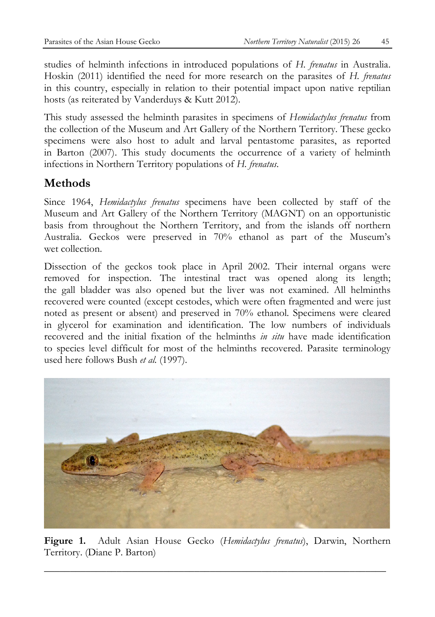studies of helminth infections in introduced populations of *H. frenatus* in Australia. Hoskin (2011) identified the need for more research on the parasites of *H. frenatus* in this country, especially in relation to their potential impact upon native reptilian hosts (as reiterated by Vanderduys & Kutt 2012).

This study assessed the helminth parasites in specimens of *Hemidactylus frenatus* from the collection of the Museum and Art Gallery of the Northern Territory. These gecko specimens were also host to adult and larval pentastome parasites, as reported in Barton (2007). This study documents the occurrence of a variety of helminth infections in Northern Territory populations of *H. frenatus*.

## **Methods**

Since 1964, *Hemidactylus frenatus* specimens have been collected by staff of the Museum and Art Gallery of the Northern Territory (MAGNT) on an opportunistic basis from throughout the Northern Territory, and from the islands off northern Australia. Geckos were preserved in 70% ethanol as part of the Museum's wet collection.

Dissection of the geckos took place in April 2002. Their internal organs were removed for inspection. The intestinal tract was opened along its length; the gall bladder was also opened but the liver was not examined. All helminths recovered were counted (except cestodes, which were often fragmented and were just noted as present or absent) and preserved in 70% ethanol. Specimens were cleared in glycerol for examination and identification. The low numbers of individuals recovered and the initial fixation of the helminths *in situ* have made identification to species level difficult for most of the helminths recovered. Parasite terminology used here follows Bush *et al.* (1997).



**Figure 1.** Adult Asian House Gecko (*Hemidactylus frenatus*), Darwin, Northern Territory. (Diane P. Barton)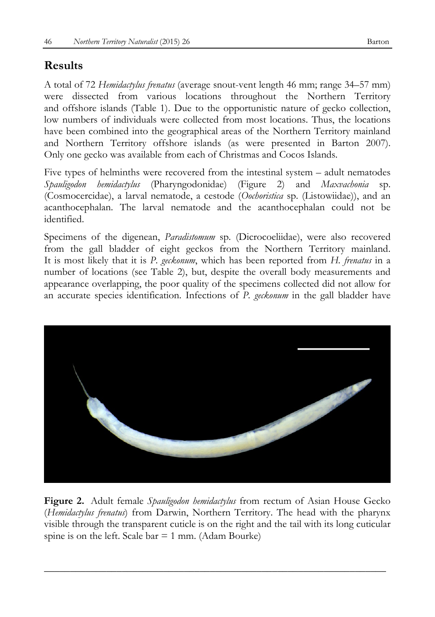# **Results**

A total of 72 *Hemidactylus frenatus* (average snout-vent length 46 mm; range 34–57 mm) were dissected from various locations throughout the Northern Territory and offshore islands (Table 1). Due to the opportunistic nature of gecko collection, low numbers of individuals were collected from most locations. Thus, the locations have been combined into the geographical areas of the Northern Territory mainland and Northern Territory offshore islands (as were presented in Barton 2007). Only one gecko was available from each of Christmas and Cocos Islands.

Five types of helminths were recovered from the intestinal system – adult nematodes *Spauligodon hemidactylus* (Pharyngodonidae) (Figure 2) and *Maxvachonia* sp. (Cosmocercidae), a larval nematode, a cestode (*Oochoristica* sp. [\(Listowiidae\)](http://en.wikipedia.org/wiki/Listowiidae)), and an acanthocephalan. The larval nematode and the acanthocephalan could not be identified.

Specimens of the digenean, *Paradistomum* sp. [\(Dicrocoeliidae\)](http://animaldiversity.ummz.umich.edu/accounts/Dicrocoeliidae/classification/%23Dicrocoeliidae), were also recovered from the gall bladder of eight geckos from the Northern Territory mainland. It is most likely that it is *P. geckonum*, which has been reported from *H. frenatus* in a number of locations (see Table 2), but, despite the overall body measurements and appearance overlapping, the poor quality of the specimens collected did not allow for an accurate species identification. Infections of *P. geckonum* in the gall bladder have



**Figure 2.** Adult female *Spauligodon hemidactylus* from rectum of Asian House Gecko (*Hemidactylus frenatus*) from Darwin, Northern Territory. The head with the pharynx visible through the transparent cuticle is on the right and the tail with its long cuticular spine is on the left. Scale bar  $= 1$  mm. (Adam Bourke)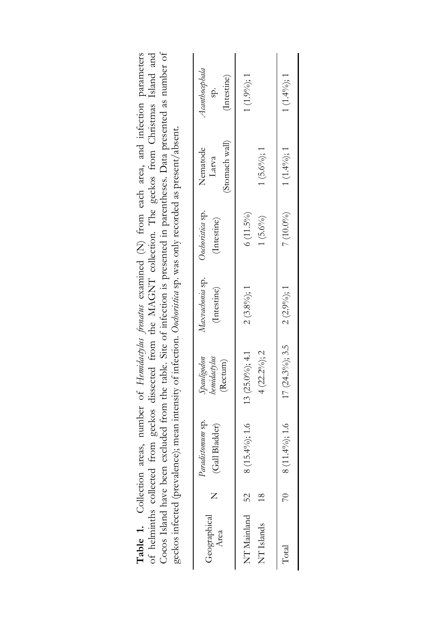|                                                                                                                                                                                                                                                                                                                                                    | Acanthocephala<br>(Intestine)                   | $1(1.9\%)$ ; 1                          | $1(1.4\%)$ ; 1                                |
|----------------------------------------------------------------------------------------------------------------------------------------------------------------------------------------------------------------------------------------------------------------------------------------------------------------------------------------------------|-------------------------------------------------|-----------------------------------------|-----------------------------------------------|
| COCO TRANS TRANS DECIT EXCHANGE TRANS TRANS TRANSPORTED TO THE PRESERVED TO THE PARTICLES OF THE PARTIES OF THE PARTIES OF THE PARTIES OF THE PARTIES OF THE PARTIES OF THE PARTIES OF THE PARTIES OF THE PARTIES OF THE PARTI<br>geckos infected (prevalence); mean intensity of infection. Oothoristica sp. was only recorded as present/absent. | (Stomach wall)<br>Nematode<br>Larva             | $1(5.6\%);1$                            | 7 (10.0%) 1 (1.4%); 1 (1.4%)                  |
|                                                                                                                                                                                                                                                                                                                                                    | (Intestine)                                     | $6(11.5\%)$<br>$1(5.6\%)$               |                                               |
|                                                                                                                                                                                                                                                                                                                                                    | Maxvachonia sp. Oochoristica sp.<br>(Intestine) | $2(3.8\%)$ ; 1                          |                                               |
|                                                                                                                                                                                                                                                                                                                                                    | Spauligodon<br><b>bemidactylus</b><br>Rectum)   | $13(25.0\%)$ ; 4.1<br>$4(22.2\%)$ ; 2   |                                               |
|                                                                                                                                                                                                                                                                                                                                                    | Paradistomum sp.<br>(Gall Bladder)              | $8(15.4\%)$ ; 1.6                       | 70 8 (11.4%); 1.6 17 (24.3%); 3.5 2 (2.9%); 1 |
|                                                                                                                                                                                                                                                                                                                                                    |                                                 |                                         |                                               |
|                                                                                                                                                                                                                                                                                                                                                    | Geographical<br>Area                            | NT Mainland 52<br>NT <sub>Islands</sub> | $_{\rm Total}$                                |

Coose Idad Javie heer excluded from the tolle. Site of infection is crescated in corentheses. Data crescated as mimber of **Table 1.** Collection areas, number of *Hemidactylus frenatus* examined (N) from each area, and infection parameters of helminths collected from geckos dissected from the MAGNT collection. The geckos from Christmas Island and Table 1. Collection areas, number of Hemidartylus frenatus examined (N) from each area, and infection parameters of helminths collected from geckos dissected from the MAGNT collection. The geckos from Christmas Island and Cocos Island have been excluded from the table. Site of infection is presented in parentheses. Data presented as number of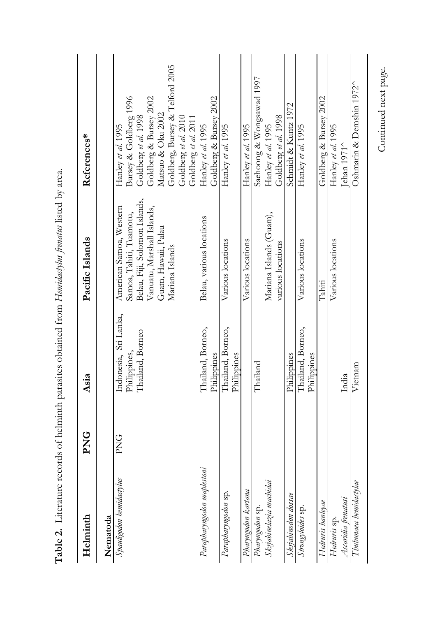| Helminth                   | <b>PNG</b> | Asia                                  | Pacific Islands                                    | References*                                             |
|----------------------------|------------|---------------------------------------|----------------------------------------------------|---------------------------------------------------------|
| Nematoda                   |            |                                       |                                                    |                                                         |
| Spauligodon hemidactylus   | PNG        | Indonesia, Sri Lanka,<br>Philippines, | American Samoa, Western<br>Samoa, Tahiti, Tuamotu, | Bursey & Goldberg 1996<br>Hanley et al. 1995            |
|                            |            | Thailand, Borneo                      | Belau, Fiji, Solomon Islands,                      | Goldberg et al. 1998                                    |
|                            |            |                                       | Vanuatu, Marshall Islands,<br>Guam, Hawaii, Palau  | Goldberg & Bursey 2002<br>Matsuo & Oku 2002             |
|                            |            |                                       | Mariana Islands                                    | Goldberg, Bursey & Telford 2005<br>Goldberg et al. 2010 |
|                            |            |                                       |                                                    | Goldberg et al. 2011                                    |
| Parapharyngodon maplestoni |            | Thailand, Borneo,                     | Belau, various locations                           | Hanley et al. 1995                                      |
|                            |            | Philippines                           |                                                    | Goldberg & Bursey 2002                                  |
| Parapharyngodon sp.        |            | Thailand, Borneo,                     | Various locations                                  | Hanley et al. 1995                                      |
|                            |            | Philippines                           |                                                    |                                                         |
| Pharyngodon kartana        |            |                                       | Various locations                                  | Hanley et al. 1995                                      |
| Pharyngodon sp.            |            | Thailand                              |                                                    | Saehoong & Wongsawad 1997                               |
| Skrjabinelazia machidai    |            |                                       | Mariana Islands (Guam),                            | Hanley et al. 1995                                      |
|                            |            |                                       | various locations                                  | Goldberg et al. 1998                                    |
| Skrjabinodon dossae        |            | Philippines                           |                                                    | Schmidt & Kuntz 1972                                    |
| Strongyloides sp.          |            | Thailand, Borneo,<br>Philippines      | Various locations                                  | Hanley et al. 1995                                      |
| Hedruris hanleyae          |            |                                       | Tahiti                                             | Goldberg & Bursey 2002                                  |
| Hedruris sp.               |            |                                       | Various locations                                  | Hanley et al. 1995                                      |
| Ascaridia frenatusi        |            | India                                 |                                                    | Jehan $1971^{\circ}$                                    |
| Thubunaea hemidactylae     |            | Vietnam                               |                                                    | Oshmarin & Demshin 1972^                                |

Table 2. Literature records of helminth parasites obtained from Hemidatylus frenatus listed by area. **Table 2.** Literature records of helminth parasites obtained from *Hemidactylus frenatus* listed by area.

Continued next page. Continued next page.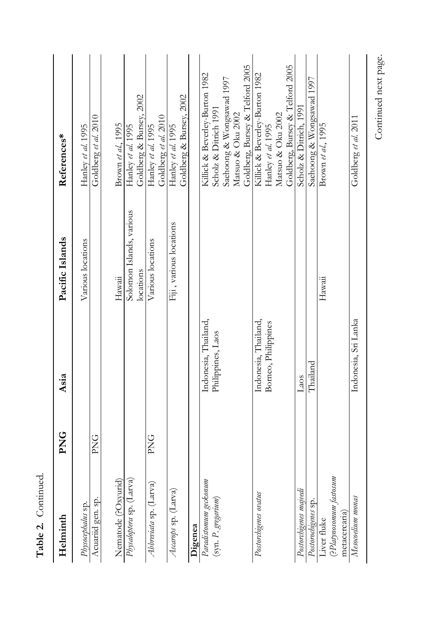| Helminth                               | <b>PNG</b>      | Asia                 | Pacific Islands                       | References*                                   |
|----------------------------------------|-----------------|----------------------|---------------------------------------|-----------------------------------------------|
| Acuariid gen. sp.<br>Physocephalus sp. | PNG             |                      | Various locations                     | Goldberg et al. 2010<br>Hanley et al. 1995    |
| Nematode (POxyurid)                    |                 |                      | Hawaii                                | Brown et al., 1995                            |
| Physaloptera sp. (Larva)               |                 |                      | Solomon Islands, various<br>locations | Goldberg & Bursey, 2002<br>Hanley et al. 1995 |
| Abbreviata sp. (Larva)                 | PNG <sub></sub> |                      | Various locations                     | Goldberg et al. 2010<br>Hanley et al. 1995    |
| Ascarops sp. (Larva)                   |                 |                      | Fiji, various locations               | Goldberg & Bursey, 2002<br>Hanley et al. 1995 |
| Digenea                                |                 |                      |                                       |                                               |
| Paradistomum geckonum                  |                 | Indonesia, Thailand, |                                       | Killick & Beverley-Burton 1982                |
| (syn. P. gregarium)                    |                 | Philippines, Laos    |                                       | Scholz & Ditrich 1991                         |
|                                        |                 |                      |                                       | Saehoong & Wongsawad 1997                     |
|                                        |                 |                      |                                       | Matsuo & Oku 2002                             |
|                                        |                 |                      |                                       | Goldberg, Bursey & Telford 2005               |
| Postorchigenes ovatus                  |                 | Indonesia, Thailand, |                                       | Killick & Beverley-Burton 1982                |
|                                        |                 | Borneo, Philippines  |                                       | Hanley et al. 1995                            |
|                                        |                 |                      |                                       | Matsuo & Oku 2002                             |
|                                        |                 |                      |                                       | Goldberg, Bursey & Telford 2005               |
| Postorchigenes majeedi                 |                 | Laos                 |                                       | Scholz & Ditrich, 1991                        |
| Postorochigenes sp.                    |                 | Thailand             |                                       | Sachoong & Wongsawad 1997                     |
| Liver fluke                            |                 |                      | Hawaii                                | Brown et al., 1995                            |
| (?Platynosomum fastosum                |                 |                      |                                       |                                               |
| metacercaria)                          |                 |                      |                                       |                                               |
| Mesocoelium monas                      |                 | Indonesia, Sri Lanka |                                       | Goldberg et al. 2011                          |
|                                        |                 |                      |                                       |                                               |

Table 2. Continued. **Table 2.** Continued. Continued next page. Continued next page.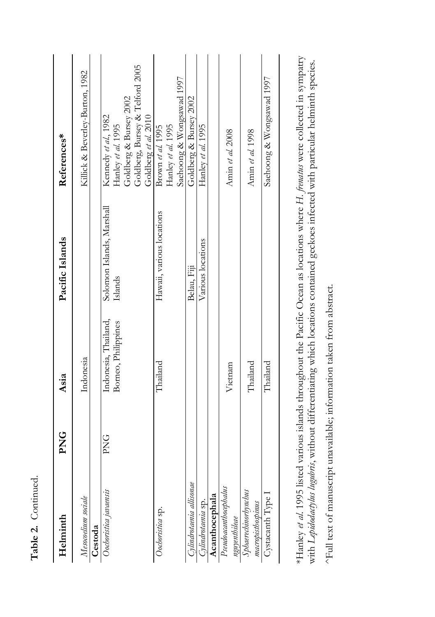| Helminth                                  | PNG    | Asia                                        | Pacific Islands                      | References*                                                          |
|-------------------------------------------|--------|---------------------------------------------|--------------------------------------|----------------------------------------------------------------------|
| Mesocoelium sociale                       |        | Indonesia                                   |                                      | Kilick & Beverley-Burton, 1982                                       |
| Cestoda                                   |        |                                             |                                      |                                                                      |
| Oochoristica javaensis                    | P<br>K | Indonesia, Thailand,<br>Borneo, Philippines | Solomon Islands, Marshall<br>Islands | Goldberg & Bursey 2002<br>Kennedy et al., 1982<br>Hanley et al. 1995 |
|                                           |        |                                             |                                      | Goldberg, Bursey & Telford 2005<br>Goldberg et al. 2010              |
| Oochoristica sp.                          |        | Thailand                                    | Hawaii, various locations            | Hanley et al. 1995<br>Brown et al. 1995                              |
|                                           |        |                                             |                                      | Saehoong & Wongsawad 1997                                            |
| Cylindrotaenia allisonae                  |        |                                             | Belau, Fiji                          | Goldberg & Bursey 2002                                               |
| Cylindrotaenia sp.                        |        |                                             | Various locations                    | Hanley et al. 1995                                                   |
| Acanthocephala                            |        |                                             |                                      |                                                                      |
| Pseudoacanthocephalus<br>nguyenthileae    |        | Vietnam                                     |                                      | Amin et al. 2008                                                     |
| Sphaerechinorhynchus<br>macropisthospinus |        | Thailand                                    |                                      | Amin et al. 1998                                                     |
| Cystacanth Type 1                         |        | Thailand                                    |                                      | Sachoong & Wongsawad 1997                                            |
|                                           |        |                                             |                                      |                                                                      |

**Table 2.** Continued.

Table 2. Continued.

\*Hanley et al. 1995 listed various islands throughout the Pacific Ocean as locations where H. frenatus were collected in sympatry \*Hanley *et al.* 1995 listed various islands throughout the Pacific Ocean as locations where *H. frenatus* were collected in sympatry with Lepidodatylus lugulmis, without differentiating which locations contained geckoes infected with particular helminth species. with *Lepidodactylus lugubris*, without differentiating which locations contained geckoes infected with particular helminth species.

^Full text of manuscript unavailable; information taken from abstract. ^Full text of manuscript unavailable; information taken from abstract.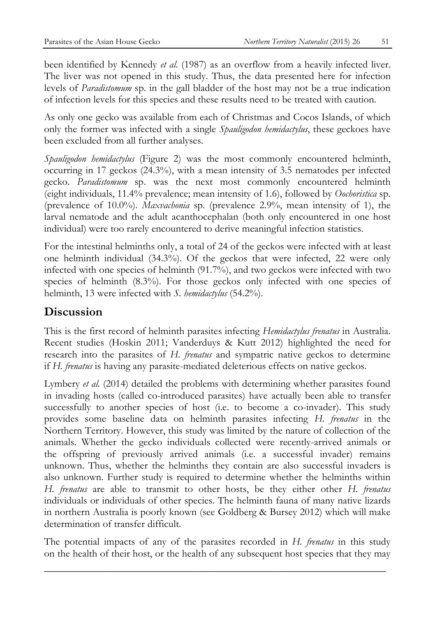been identified by Kennedy *et al.* (1987) as an overflow from a heavily infected liver. The liver was not opened in this study. Thus, the data presented here for infection levels of *Paradistomum* sp. in the gall bladder of the host may not be a true indication of infection levels for this species and these results need to be treated with caution.

As only one gecko was available from each of Christmas and Cocos Islands, of which only the former was infected with a single *Spauligodon hemidactylus*, these geckoes have been excluded from all further analyses.

*Spauligodon hemidactylus* (Figure 2) was the most commonly encountered helminth, occurring in 17 geckos (24.3%), with a mean intensity of 3.5 nematodes per infected gecko. *Paradistomum* sp. was the next most commonly encountered helminth (eight individuals, 11.4% prevalence; mean intensity of 1.6), followed by *Oochoristica* sp. (prevalence of 10.0%). *Maxvachonia* sp. (prevalence 2.9%, mean intensity of 1), the larval nematode and the adult acanthocephalan (both only encountered in one host individual) were too rarely encountered to derive meaningful infection statistics.

For the intestinal helminths only, a total of 24 of the geckos were infected with at least one helminth individual (34.3%). Of the geckos that were infected, 22 were only infected with one species of helminth (91.7%), and two geckos were infected with two species of helminth (8.3%). For those geckos only infected with one species of helminth, 13 were infected with *S. hemidactylus* (54.2%).

### **Discussion**

This is the first record of helminth parasites infecting *Hemidactylus frenatus* in Australia. Recent studies (Hoskin 2011; Vanderduys & Kutt 2012) highlighted the need for research into the parasites of *H. frenatus* and sympatric native geckos to determine if *H. frenatus* is having any parasite-mediated deleterious effects on native geckos.

Lymbery *et al.* (2014) detailed the problems with determining whether parasites found in invading hosts (called co-introduced parasites) have actually been able to transfer successfully to another species of host (i.e. to become a co-invader). This study provides some baseline data on helminth parasites infecting *H. frenatus* in the Northern Territory. However, this study was limited by the nature of collection of the animals. Whether the gecko individuals collected were recently-arrived animals or the offspring of previously arrived animals (i.e. a successful invader) remains unknown. Thus, whether the helminths they contain are also successful invaders is also unknown. Further study is required to determine whether the helminths within *H. frenatus* are able to transmit to other hosts, be they either other *H. frenatus* individuals or individuals of other species. The helminth fauna of many native lizards in northern Australia is poorly known (see Goldberg & Bursey 2012) which will make determination of transfer difficult.

The potential impacts of any of the parasites recorded in *H. frenatus* in this study on the health of their host, or the health of any subsequent host species that they may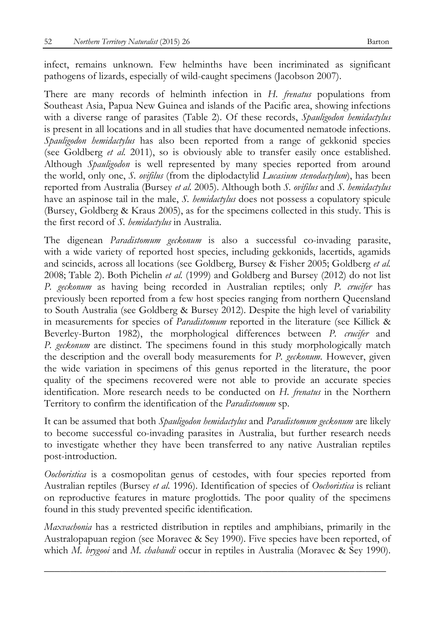infect, remains unknown. Few helminths have been incriminated as significant pathogens of lizards, especially of wild-caught specimens (Jacobson 2007).

There are many records of helminth infection in *H. frenatus* populations from Southeast Asia, Papua New Guinea and islands of the Pacific area, showing infections with a diverse range of parasites (Table 2). Of these records, *Spauligodon hemidactylus* is present in all locations and in all studies that have documented nematode infections. *Spauligodon hemidactylus* has also been reported from a range of gekkonid species (see Goldberg *et al.* 2011), so is obviously able to transfer easily once established. Although *Spauligodon* is well represented by many species reported from around the world, only one, *S. ovifilus* (from the diplodactylid *Lucasium stenodactylum*), has been reported from Australia (Bursey *et al.* 2005). Although both *S. ovifilus* and *S. hemidactylus* have an aspinose tail in the male, *S. hemidactylus* does not possess a copulatory spicule (Bursey, Goldberg & Kraus 2005), as for the specimens collected in this study. This is the first record of *S. hemidactylus* in Australia.

The digenean *Paradistomum geckonum* is also a successful co-invading parasite, with a wide variety of reported host species, including gekkonids, lacertids, agamids and scincids, across all locations (see Goldberg, Bursey & Fisher 2005; Goldberg *et al.* 2008; Table 2). Both Pichelin *et al.* (1999) and Goldberg and Bursey (2012) do not list *P. geckonum* as having being recorded in Australian reptiles; only *P. crucifer* has previously been reported from a few host species ranging from northern Queensland to South Australia (see Goldberg & Bursey 2012). Despite the high level of variability in measurements for species of *Paradistomum* reported in the literature (see Killick & Beverley-Burton 1982), the morphological differences between *P. crucifer* and *P. geckonum* are distinct. The specimens found in this study morphologically match the description and the overall body measurements for *P. geckonum*. However, given the wide variation in specimens of this genus reported in the literature, the poor quality of the specimens recovered were not able to provide an accurate species identification. More research needs to be conducted on *H. frenatus* in the Northern Territory to confirm the identification of the *Paradistomum* sp.

It can be assumed that both *Spauligodon hemidactylus* and *Paradistomum geckonum* are likely to become successful co-invading parasites in Australia, but further research needs to investigate whether they have been transferred to any native Australian reptiles post-introduction.

*Oochoristica* is a cosmopolitan genus of cestodes, with four species reported from Australian reptiles (Bursey *et al.* 1996). Identification of species of *Oochoristica* is reliant on reproductive features in mature proglottids. The poor quality of the specimens found in this study prevented specific identification.

*Maxvachonia* has a restricted distribution in reptiles and amphibians, primarily in the Australopapuan region (see Moravec & Sey 1990). Five species have been reported, of which *M. brygooi* and *M. chabaudi* occur in reptiles in Australia (Moravec & Sey 1990).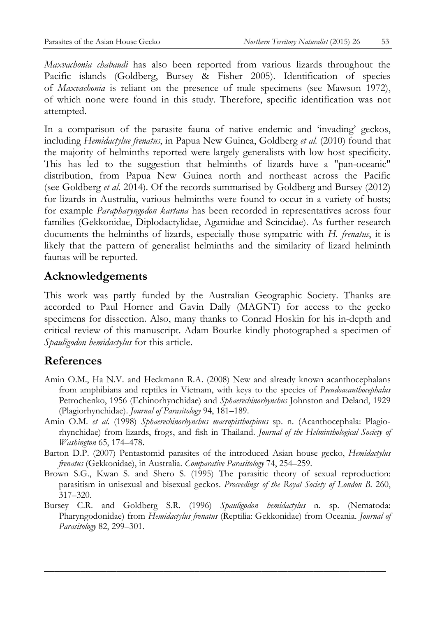*Maxvachonia chabaudi* has also been reported from various lizards throughout the Pacific islands (Goldberg, Bursey & Fisher 2005). Identification of species of *Maxvachonia* is reliant on the presence of male specimens (see Mawson 1972), of which none were found in this study. Therefore, specific identification was not attempted.

In a comparison of the parasite fauna of native endemic and 'invading' geckos, including *Hemidactylue frenatus*, in Papua New Guinea, Goldberg *et al.* (2010) found that the majority of helminths reported were largely generalists with low host specificity. This has led to the suggestion that helminths of lizards have a "pan-oceanic" distribution, from Papua New Guinea north and northeast across the Pacific (see Goldberg *et al.* 2014). Of the records summarised by Goldberg and Bursey (2012) for lizards in Australia, various helminths were found to occur in a variety of hosts; for example *Parapharyngodon kartana* has been recorded in representatives across four families (Gekkonidae, Diplodactylidae, Agamidae and Scincidae). As further research documents the helminths of lizards, especially those sympatric with *H. frenatus*, it is likely that the pattern of generalist helminths and the similarity of lizard helminth faunas will be reported.

### **Acknowledgements**

This work was partly funded by the Australian Geographic Society. Thanks are accorded to Paul Horner and Gavin Dally (MAGNT) for access to the gecko specimens for dissection. Also, many thanks to Conrad Hoskin for his in-depth and critical review of this manuscript. Adam Bourke kindly photographed a specimen of *Spauligodon hemidactylus* for this article.

## **References**

- Amin O.M., Ha N.V. and Heckmann R.A. (2008) New and already known acanthocephalans from amphibians and reptiles in Vietnam, with keys to the species of *Pseudoacanthocephalus* Petrochenko, 1956 (Echinorhynchidae) and *Sphaerechinorhynchus* Johnston and Deland, 1929 (Plagiorhynchidae). *Journal of Parasitology* 94, 181–189.
- Amin O.M. *et al.* (1998) *Sphaerechinorhynchus macropisthospinus* sp. n. (Acanthocephala: Plagiorhynchidae) from lizards, frogs, and fish in Thailand. *Journal of the Helminthological Society of Washington* 65, 174–478.
- Barton D.P. (2007) Pentastomid parasites of the introduced Asian house gecko, *Hemidactylus frenatus* (Gekkonidae), in Australia. *Comparative Parasitology* 74, 254–259.
- Brown S.G., Kwan S. and Shero S. (1995) The parasitic theory of sexual reproduction: parasitism in unisexual and bisexual geckos. *Proceedings of the Royal Society of London B*. 260, 317–320.
- Bursey C.R. and Goldberg S.R. (1996) *Spauligodon hemidactylus* n. sp. (Nematoda: Pharyngodonidae) from *Hemidactylus frenatus* (Reptilia: Gekkonidae) from Oceania. *Journal of Parasitology* 82, 299–301.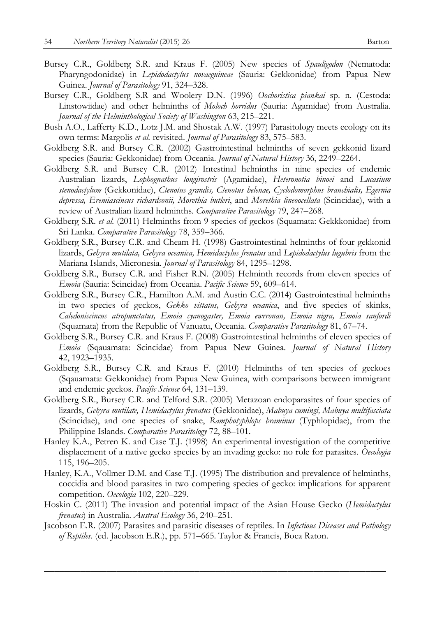- Bursey C.R., Goldberg S.R. and Kraus F. (2005) New species of *Spauligodon* (Nematoda: Pharyngodonidae) in *Lepidodactylus novaeguineae* (Sauria: Gekkonidae) from Papua New Guinea. *Journal of Parasitology* 91, 324–328.
- Bursey C.R., Goldberg S.R and Woolery D.N. (1996) *Oochoristica piankai* sp. n. (Cestoda: Linstowiidae) and other helminths of *Moloch horridus* (Sauria: Agamidae) from Australia. *Journal of the Helminthological Society of Washington* 63, 215–221.
- Bush A.O., Lafferty K.D., Lotz J.M. and Shostak A.W. (1997) Parasitology meets ecology on its own terms: Margolis *et al.* revisited. *Journal of Parasitology* 83, 575–583.
- Goldberg S.R. and Bursey C.R. (2002) Gastrointestinal helminths of seven gekkonid lizard species (Sauria: Gekkonidae) from Oceania. *Journal of Natural History* 36, 2249–2264.
- Goldberg S.R. and Bursey C.R. (2012) Intestinal helminths in nine species of endemic Australian lizards, *Lophognathus longirostris* (Agamidae), *Heteronotia binoei* and *Lucasium stenodactylum* (Gekkonidae), *Ctenotus grandis, Ctenotus helenae, Cyclodomorphus branchialis, Egernia depressa, Eremiascincus richardsonii, Morethia butleri*, and *Morethia lineoocellata* (Scincidae), with a review of Australian lizard helminths. *Comparative Parasitology* 79, 247–268.
- Goldberg S.R. *et al.* (2011) Helminths from 9 species of geckos (Squamata: Gekkkonidae) from Sri Lanka. *Comparative Parasitology* 78, 359–366.
- Goldberg S.R., Bursey C.R. and Cheam H. (1998) Gastrointestinal helminths of four gekkonid lizards, *Gehyra mutilata, Gehyra oceanica, Hemidactylus frenatus* and *Lepidodactylus lugubris* from the Mariana Islands, Micronesia. *Journal of Parasitology* 84, 1295–1298.
- Goldberg S.R., Bursey C.R. and Fisher R.N. (2005) Helminth records from eleven species of *Emoia* (Sauria: Scincidae) from Oceania. *Pacific Science* 59, 609–614.
- Goldberg S.R., Bursey C.R., Hamilton A.M. and Austin C.C. (2014) Gastrointestinal helminths in two species of geckos, *Gekko vittatus, Gehyra oceanica*, and five species of skinks, *Caledoniscincus atropunctatus, Emoia cyanogaster, Emoia ewrronan, Emoia nigra, Emoia sanfordi*  (Squamata) from the Republic of Vanuatu, Oceania. *Comparative Parasitology* 81, 67–74.
- Goldberg S.R., Bursey C.R. and Kraus F. (2008) Gastrointestinal helminths of eleven species of *Emoia* (Sqauamata: Scincidae) from Papua New Guinea. *Journal of Natural History* 42, 1923–1935.
- Goldberg S.R., Bursey C.R. and Kraus F. (2010) Helminths of ten species of geckoes (Sqauamata: Gekkonidae) from Papua New Guinea, with comparisons between immigrant and endemic geckos. *Pacific Science* 64, 131–139.
- Goldberg S.R., Bursey C.R. and Telford S.R. (2005) Metazoan endoparasites of four species of lizards, *Gehyra mutilate, Hemidactylus frenatus* (Gekkonidae), *Mabuya cumingi, Mabuya multifasciata* (Scincidae), and one species of snake, *Ramphotyphlops braminus* (Typhlopidae), from the Philippine Islands. *Comparative Parasitology* 72, 88–101.
- Hanley K.A., Petren K. and Case T.J. (1998) An experimental investigation of the competitive displacement of a native gecko species by an invading gecko: no role for parasites. *Oecologia* 115, 196–205.
- Hanley, K.A., Vollmer D.M. and Case T.J. (1995) The distribution and prevalence of helminths, coccidia and blood parasites in two competing species of gecko: implications for apparent competition. *Oecologia* 102, 220–229.
- Hoskin C. (2011) The invasion and potential impact of the Asian House Gecko (*Hemidactylus frenatus*) in Australia. *Austral Ecology* 36, 240–251.
- Jacobson E.R. (2007) Parasites and parasitic diseases of reptiles. In *Infectious Diseases and Pathology of Reptiles*. (ed. Jacobson E.R.), pp. 571–665. Taylor & Francis, Boca Raton.